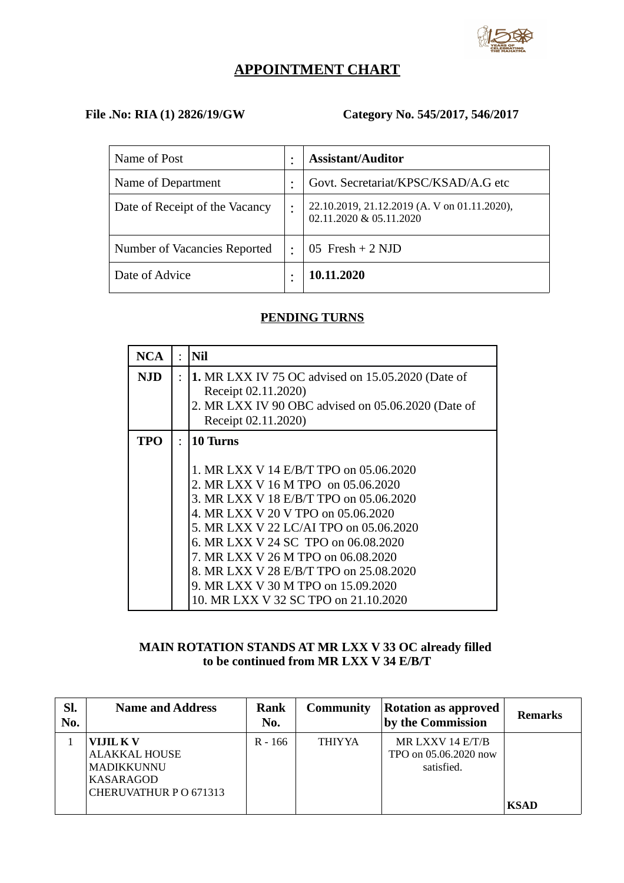

# **APPOINTMENT CHART**

# **File .No: RIA (1) 2826/19/GW Category No. 545/2017, 546/2017**

| Name of Post                   | <b>Assistant/Auditor</b>                                                |
|--------------------------------|-------------------------------------------------------------------------|
| Name of Department             | Govt. Secretariat/KPSC/KSAD/A.G etc                                     |
| Date of Receipt of the Vacancy | 22.10.2019, 21.12.2019 (A. V on 01.11.2020),<br>02.11.2020 & 05.11.2020 |
| Number of Vacancies Reported   | $05$ Fresh + 2 NJD                                                      |
| Date of Advice                 | 10.11.2020                                                              |

## **PENDING TURNS**

| <b>NCA</b> | $\ddot{\cdot}$ | <b>Nil</b>                                                                                                                                                                                                                                                                                                                                                                                                              |
|------------|----------------|-------------------------------------------------------------------------------------------------------------------------------------------------------------------------------------------------------------------------------------------------------------------------------------------------------------------------------------------------------------------------------------------------------------------------|
| NJD.       | $\bullet$      | 1. MR LXX IV 75 OC advised on 15.05.2020 (Date of<br>Receipt 02.11.2020)<br>2. MR LXX IV 90 OBC advised on 05.06.2020 (Date of<br>Receipt 02.11.2020)                                                                                                                                                                                                                                                                   |
| <b>TPO</b> | $\ddot{\cdot}$ | 10 Turns<br>1. MR LXX V 14 E/B/T TPO on 05.06.2020<br>2. MR LXX V 16 M TPO on 05.06.2020<br>3. MR LXX V 18 E/B/T TPO on 05.06.2020<br>4. MR LXX V 20 V TPO on 05.06.2020<br>5. MR LXX V 22 LC/AI TPO on 05.06.2020<br>6. MR LXX V 24 SC TPO on 06.08.2020<br>7. MR LXX V 26 M TPO on 06.08.2020<br>8. MR LXX V 28 E/B/T TPO on 25.08.2020<br>9. MR LXX V 30 M TPO on 15.09.2020<br>10. MR LXX V 32 SC TPO on 21.10.2020 |

# **MAIN ROTATION STANDS AT MR LXX V 33 OC already filled to be continued from MR LXX V 34 E/B/T**

| Sl.<br>No. | <b>Name and Address</b>                                                                      | Rank<br>No. | <b>Community</b> | <b>Rotation as approved</b><br>by the Commission        | <b>Remarks</b> |
|------------|----------------------------------------------------------------------------------------------|-------------|------------------|---------------------------------------------------------|----------------|
|            | <b>VIJIL K V</b><br><b>ALAKKAL HOUSE</b><br>MADIKKUNNU<br>KASARAGOD<br>CHERUVATHUR PO 671313 | $R - 166$   | <b>THIYYA</b>    | MR LXXV 14 E/T/B<br>TPO on 05.06.2020 now<br>satisfied. | <b>KSAD</b>    |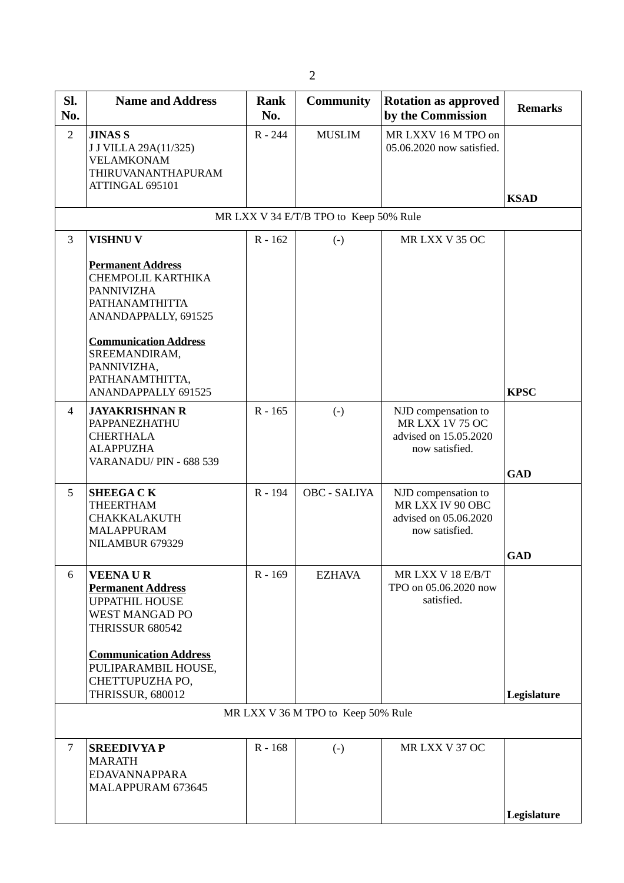| SI.<br>No.     | <b>Name and Address</b>                                                                                                                                                                                                        | Rank<br>No. | <b>Community</b>  | <b>Rotation as approved</b><br>by the Commission                                         | <b>Remarks</b> |  |  |  |
|----------------|--------------------------------------------------------------------------------------------------------------------------------------------------------------------------------------------------------------------------------|-------------|-------------------|------------------------------------------------------------------------------------------|----------------|--|--|--|
| $\overline{2}$ | <b>JINAS S</b><br>J J VILLA 29A(11/325)<br><b>VELAMKONAM</b><br>THIRUVANANTHAPURAM<br>ATTINGAL 695101                                                                                                                          | R - 244     | <b>MUSLIM</b>     | MR LXXV 16 M TPO on<br>05.06.2020 now satisfied.                                         | <b>KSAD</b>    |  |  |  |
|                | MR LXX V 34 E/T/B TPO to Keep 50% Rule                                                                                                                                                                                         |             |                   |                                                                                          |                |  |  |  |
| 3              | <b>VISHNU V</b>                                                                                                                                                                                                                | $R - 162$   | $\left( -\right)$ | MRLXX V35 OC                                                                             |                |  |  |  |
|                | <b>Permanent Address</b><br>CHEMPOLIL KARTHIKA<br><b>PANNIVIZHA</b><br><b>PATHANAMTHITTA</b><br>ANANDAPPALLY, 691525<br><b>Communication Address</b><br>SREEMANDIRAM,<br>PANNIVIZHA,<br>PATHANAMTHITTA,<br>ANANDAPPALLY 691525 |             |                   |                                                                                          | <b>KPSC</b>    |  |  |  |
| 4              | <b>JAYAKRISHNAN R</b><br>PAPPANEZHATHU<br><b>CHERTHALA</b><br><b>ALAPPUZHA</b><br>VARANADU/ PIN - 688 539                                                                                                                      | $R - 165$   | $(-)$             | NJD compensation to<br><b>MR LXX 1V 75 OC</b><br>advised on 15.05.2020<br>now satisfied. | <b>GAD</b>     |  |  |  |
| 5              | <b>SHEEGACK</b><br><b>THEERTHAM</b><br><b>CHAKKALAKUTH</b><br><b>MALAPPURAM</b><br>NILAMBUR 679329                                                                                                                             | R-194       | OBC - SALIYA      | NJD compensation to<br>MR LXX IV 90 OBC<br>advised on 05.06.2020<br>now satisfied.       | GAD            |  |  |  |
| 6              | <b>VEENAUR</b><br><b>Permanent Address</b><br><b>UPPATHIL HOUSE</b><br><b>WEST MANGAD PO</b><br><b>THRISSUR 680542</b><br><b>Communication Address</b><br>PULIPARAMBIL HOUSE,                                                  | R-169       | <b>EZHAVA</b>     | MR LXX V 18 E/B/T<br>TPO on 05.06.2020 now<br>satisfied.                                 |                |  |  |  |
|                | CHETTUPUZHA PO,<br><b>THRISSUR, 680012</b>                                                                                                                                                                                     |             |                   |                                                                                          | Legislature    |  |  |  |
|                | MR LXX V 36 M TPO to Keep 50% Rule                                                                                                                                                                                             |             |                   |                                                                                          |                |  |  |  |
| $\overline{7}$ | <b>SREEDIVYAP</b><br><b>MARATH</b><br><b>EDAVANNAPPARA</b><br>MALAPPURAM 673645                                                                                                                                                | R-168       | $\left( -\right)$ | MR LXX V 37 OC                                                                           | Legislature    |  |  |  |